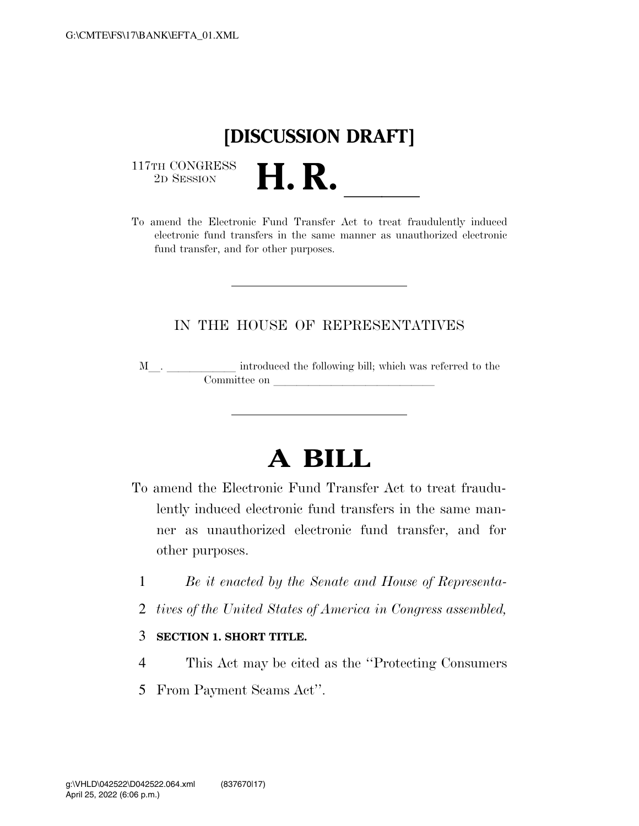## **[DISCUSSION DRAFT]**

 $\begin{array}{c} \text{117TH CONGRESS} \\ \text{2D Session} \end{array}$ 



## IN THE HOUSE OF REPRESENTATIVES

M<sub>\_\_\_</sub>. \_\_\_\_\_\_\_\_\_\_\_\_\_ introduced the following bill; which was referred to the Committee on later and later on later when  $\sim$ 

## **A BILL**

- To amend the Electronic Fund Transfer Act to treat fraudulently induced electronic fund transfers in the same manner as unauthorized electronic fund transfer, and for other purposes.
	- 1 *Be it enacted by the Senate and House of Representa-*
	- 2 *tives of the United States of America in Congress assembled,*

## 3 **SECTION 1. SHORT TITLE.**

- 4 This Act may be cited as the ''Protecting Consumers
- 5 From Payment Scams Act''.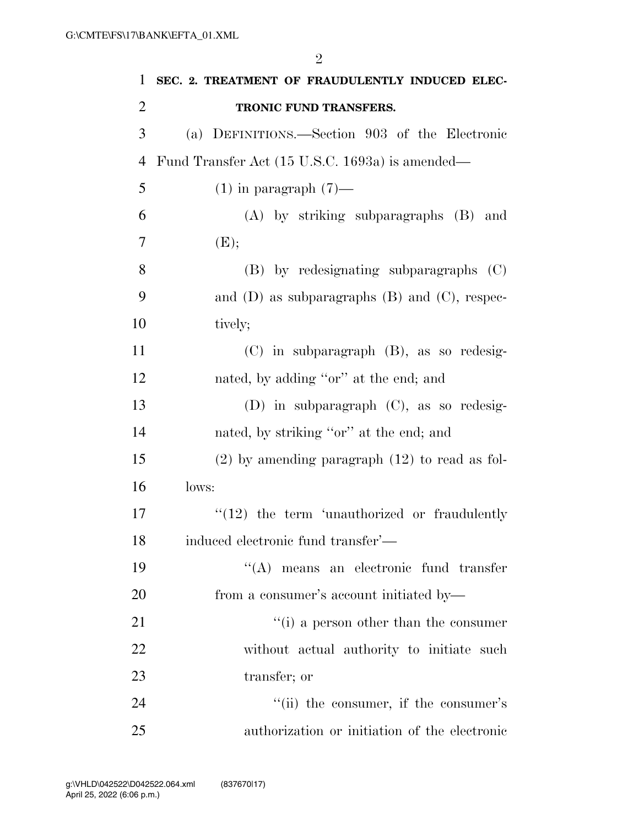**SEC. 2. TREATMENT OF FRAUDULENTLY INDUCED ELEC- TRONIC FUND TRANSFERS.**  (a) DEFINITIONS.—Section 903 of the Electronic Fund Transfer Act (15 U.S.C. 1693a) is amended— 5 (1) in paragraph  $(7)$ — (A) by striking subparagraphs (B) and (E); (B) by redesignating subparagraphs (C) and (D) as subparagraphs (B) and (C), respec-10 tively; (C) in subparagraph (B), as so redesig-12 nated, by adding "or" at the end; and (D) in subparagraph (C), as so redesig-14 nated, by striking "or" at the end; and (2) by amending paragraph (12) to read as fol- lows:  $\frac{17}{2}$  ''(12) the term 'unauthorized or fraudulently induced electronic fund transfer'— ''(A) means an electronic fund transfer from a consumer's account initiated by—  $\frac{1}{2}$  (i) a person other than the consumer without actual authority to initiate such transfer; or 24 ''(ii) the consumer, if the consumer's authorization or initiation of the electronic

 $\mathfrak{D}$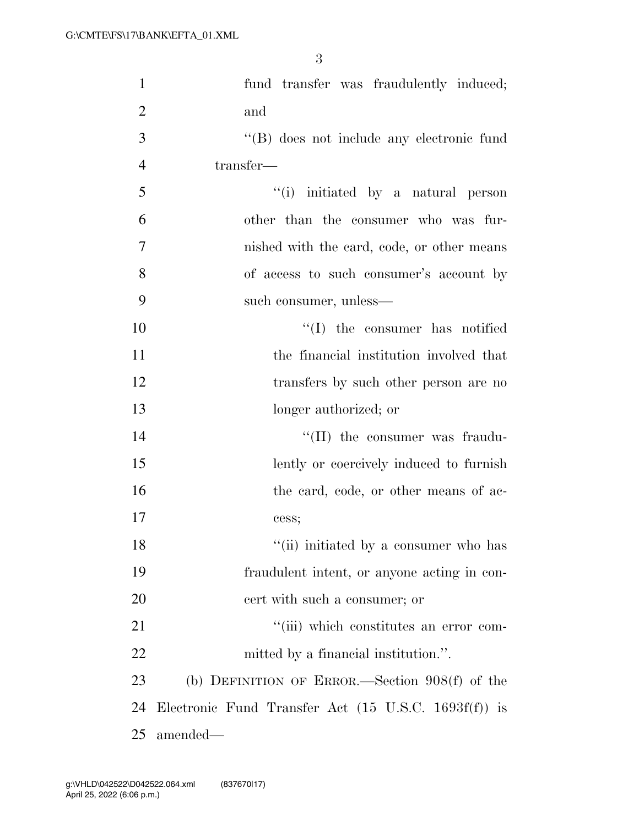3

| $\mathbf{1}$   | fund transfer was fraudulently induced;                         |
|----------------|-----------------------------------------------------------------|
| $\overline{2}$ | and                                                             |
| 3              | "(B) does not include any electronic fund                       |
| $\overline{4}$ | transfer-                                                       |
| 5              | "(i) initiated by a natural person                              |
| 6              | other than the consumer who was fur-                            |
| 7              | nished with the card, code, or other means                      |
| 8              | of access to such consumer's account by                         |
| 9              | such consumer, unless—                                          |
| 10             | $\lq\lq$ (I) the consumer has notified                          |
| 11             | the financial institution involved that                         |
| 12             | transfers by such other person are no                           |
| 13             | longer authorized; or                                           |
| 14             | "(II) the consumer was fraudu-                                  |
| 15             | lently or coercively induced to furnish                         |
| 16             | the card, code, or other means of ac-                           |
| 17             | cess;                                                           |
| 18             | "(ii) initiated by a consumer who has                           |
| 19             | fraudulent intent, or anyone acting in con-                     |
| 20             | cert with such a consumer; or                                   |
| 21             | "(iii) which constitutes an error com-                          |
| 22             | mitted by a financial institution.".                            |
| 23             | (b) DEFINITION OF ERROR.—Section $908(f)$ of the                |
| 24             | Electronic Fund Transfer Act $(15 \text{ U.S.C. } 1693f(f))$ is |
| 25             | amended—                                                        |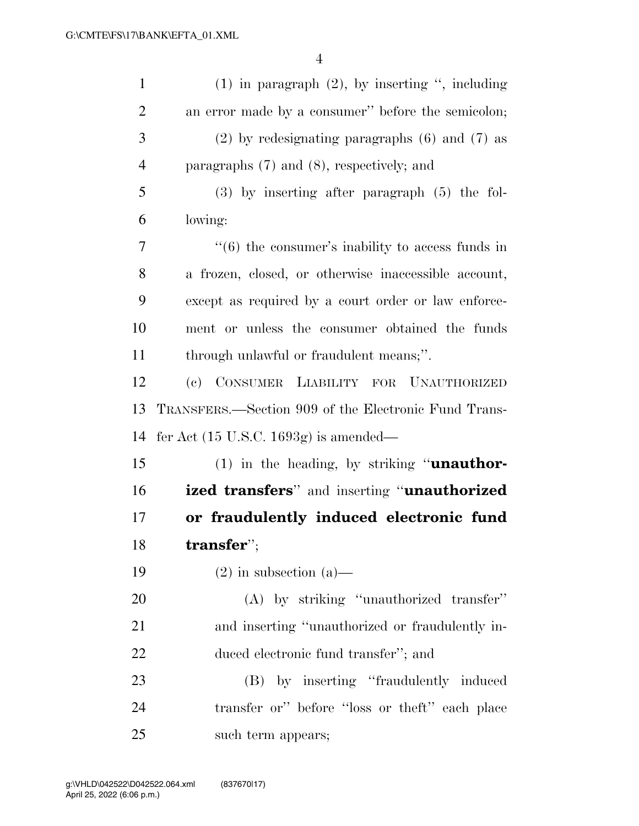| $\mathbf{1}$   | $(1)$ in paragraph $(2)$ , by inserting ", including             |
|----------------|------------------------------------------------------------------|
| $\overline{c}$ | an error made by a consumer" before the semicolon;               |
| 3              | $(2)$ by redesignating paragraphs $(6)$ and $(7)$ as             |
| $\overline{4}$ | paragraphs $(7)$ and $(8)$ , respectively; and                   |
| 5              | $(3)$ by inserting after paragraph $(5)$ the fol-                |
| 6              | lowing:                                                          |
| 7              | $\cdot\cdot\cdot(6)$ the consumer's inability to access funds in |
| 8              | a frozen, closed, or otherwise inaccessible account,             |
| 9              | except as required by a court order or law enforce-              |
| 10             | ment or unless the consumer obtained the funds                   |
| 11             | through unlawful or fraudulent means;".                          |
| 12             | (c) CONSUMER LIABILITY FOR UNAUTHORIZED                          |
| 13             | TRANSFERS.—Section 909 of the Electronic Fund Trans-             |
| 14             | fer Act $(15 \text{ U.S.C. } 1693g)$ is amended—                 |
| 15             | $(1)$ in the heading, by striking " <b>unauthor-</b>             |
| 16             | ized transfers" and inserting "unauthorized                      |
| 17             | or fraudulently induced electronic fund                          |
| 18             | transfer";                                                       |
| 19             | $(2)$ in subsection $(a)$ —                                      |
| 20             | (A) by striking "unauthorized transfer"                          |
| 21             | and inserting "unauthorized or fraudulently in-                  |
| 22             | duced electronic fund transfer"; and                             |
| 23             | (B) by inserting "fraudulently induced                           |
| 24             | transfer or" before "loss or theft" each place                   |
| 25             | such term appears;                                               |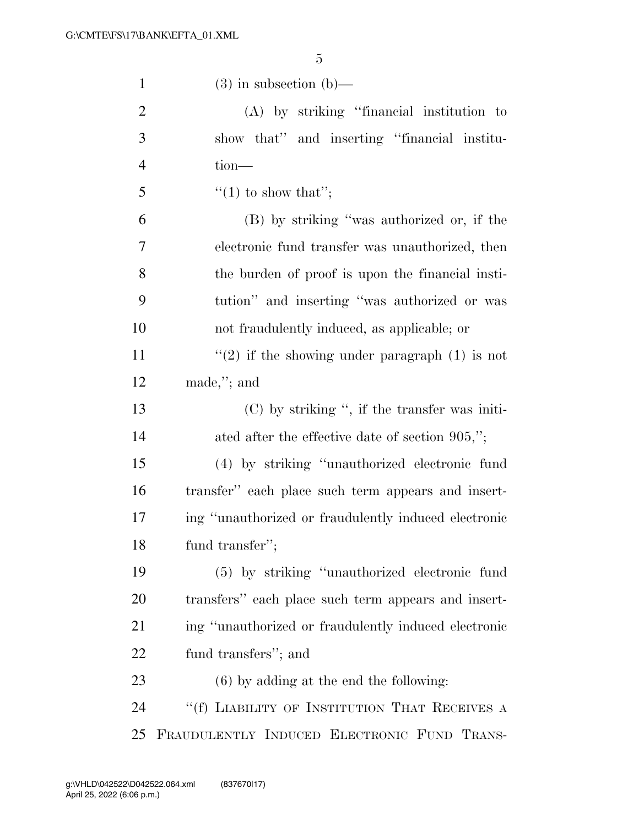| $\mathbf{1}$   | $(3)$ in subsection $(b)$ —                          |
|----------------|------------------------------------------------------|
| $\overline{2}$ | (A) by striking "financial institution to            |
| 3              | show that" and inserting "financial institu-         |
| $\overline{4}$ | $tion-$                                              |
| 5              | $\lq(1)$ to show that";                              |
| 6              | (B) by striking "was authorized or, if the           |
| 7              | electronic fund transfer was unauthorized, then      |
| 8              | the burden of proof is upon the financial insti-     |
| 9              | tution" and inserting "was authorized or was         |
| 10             | not fraudulently induced, as applicable; or          |
| 11             | $\lq(2)$ if the showing under paragraph (1) is not   |
| 12             | made,"; and                                          |
| 13             | $(C)$ by striking ", if the transfer was initi-      |
| 14             | ated after the effective date of section $905$ ,";   |
| 15             | (4) by striking "unauthorized electronic fund        |
| 16             | transfer" each place such term appears and insert-   |
| 17             | ing "unauthorized or fraudulently induced electronic |
| 18             | fund transfer";                                      |
| 19             | (5) by striking "unauthorized electronic fund        |
| 20             | transfers" each place such term appears and insert-  |
| 21             | ing "unauthorized or fraudulently induced electronic |
| <u>22</u>      | fund transfers"; and                                 |
| 23             | $(6)$ by adding at the end the following:            |
| 24             | "(f) LIABILITY OF INSTITUTION THAT RECEIVES A        |
| 25             | FRAUDULENTLY INDUCED ELECTRONIC FUND TRANS-          |